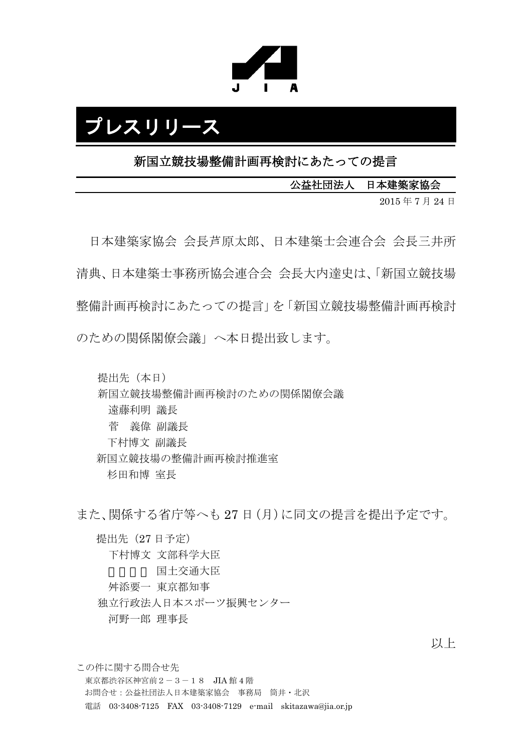

# プレスリリース

新国立競技場整備計画再検討にあたっての提言

公益社団法人 日本建築家協会

2015 年 7 月 24 日

日本建築家協会 会長芦原太郎、日本建築士会連合会 会長三井所 清典、日本建築士事務所協会連合会 会長大内達史は、「新国立競技場 整備計画再検討にあたっての提言」を「新国立競技場整備計画再検討 のための関係閣僚会議」へ本日提出致します。

提出先(本日)

新国立競技場整備計画再検討のための関係閣僚会議

遠藤利明 議長

菅 義偉 副議長

下村博文 副議長

新国立競技場の整備計画再検討推進室

杉田和博 室長

また、関係する省庁等へも 27 日(月)に同文の提言を提出予定です。

提出先(27 日予定) 下村博文 文部科学大臣 国土交通大臣 舛添要一 東京都知事 独立行政法人日本スポーツ振興センター 河野一郎 理事長

以上

この件に関する問合せ先 東京都渋谷区神宮前 $2-3-18$  JIA 館 4 階 お問合せ:公益社団法人日本建築家協会 事務局 筒井・北沢 電話 03-3408-7125 FAX 03-3408-7129 e-mail skitazawa@jia.or.jp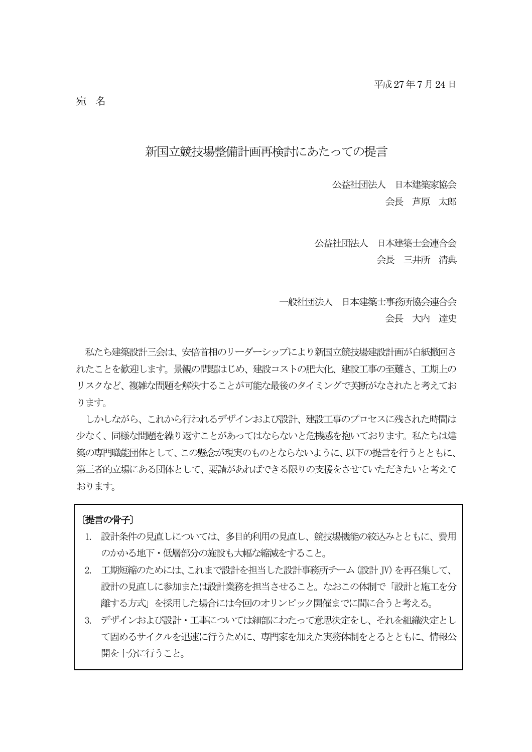# 新国立競技場整備計画再検討にあたっての提言

公益社団法人 日本建築家協会 会長 芦原 太郎

公益社団法人 日本建築士会連合会 会長 三井所 清典

一般社団法人 日本建築士事務所協会連合会 会長 大内 達史

私たち建築設計三会は、安倍首相のリーダーシップにより新国立競技場建設計画が白紙撤回さ れたことを歓迎します。景観の問題はじめ、建設コストの肥大化、建設工事の至難さ、工期上の リスクなど、複雑な問題を解決することが可能な最後のタイミングで英断がなされたと考えてお ります。

しかしながら、これから行われるデザインおよび設計、建設工事のプロセスに残された時間は 少なく、同様な問題を繰り返すことがあってはならないと危機感を抱いております。私たちは建 築の専門職能団体として、この懸念が現実のものとならないように、以下の提言を行うとともに、 第三者的立場にある団体として、要請があればできる限りの支援をさせていただきたいと考えて おります。

#### 〔提言の骨子〕

- 1. 設計条件の見直しについては、多目的利用の見直し、競技場機能の絞込みとともに、費用 のかかる地下・低層部分の施設も大幅な縮減をすること。
- 2. 工期短縮のためには、これまで設計を担当した設計事務所チーム(設計JV)を再召集して、 設計の見直しに参加または設計業務を担当させること。なおこの体制で「設計と施工を分 離する方式」を採用した場合には今回のオリンピック開催までに間に合うと考える。
- 3. デザインおよび設計・工事については細部にわたって意思決定をし、それを組織決定とし て固めるサイクルを迅速に行うために、専門家を加えた実務体制をとるとともに、情報公 開を十分に行うこと。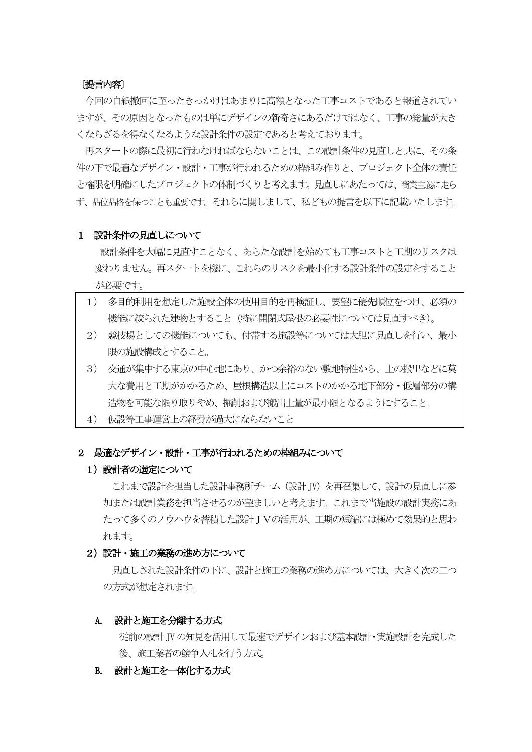#### 〔提言内容〕

今回の白紙撤回に至ったきっかけはあまりに高額となった工事コストであると報道されてい ますが、その原因となったものは単にデザインの新奇さにあるだけではなく、工事の総量が大き くならざるを得なくなるような設計条件の設定であると考えております。

再スタートの際に最初に行わなければならないことは、この設計条件の見直しと共に、その条 件の下で最適なデザイン・設計・工事が行われるための枠組み作りと、プロジェクト全体の責任 と権限を明確にしたプロジェクトの体制づくりと考えます。見直しにあたっては、商業主義に走ら ず、品位品格を保つことも重要です。それらに関しまして、私どもの提言を以下に記載いたします。

#### 1 設計条件の見直しについて

 設計条件を大幅に見直すことなく、あらたな設計を始めても工事コストと工期のリスクは 変わりません。再スタートを機に、これらのリスクを最小化する設計条件の設定をすること が必要です。

- 1) 多目的利用を想定した施設全体の使用目的を再検証し、要望に優先順位をつけ、必須の 機能に絞られた建物とすること(特に開閉式屋根の必要性については見直すべき)。
- 2) 競技場としての機能についても、付帯する施設等については大胆に見直しを行い、最小 限の施設構成とすること。
- 3) 交通が集中する東京の中心地にあり、かつ余裕のない敷地特性から、土の搬出などに莫 大な費用と工期がかかるため、屋根構造以上にコストのかかる地下部分・低層部分の構 造物を可能な限り取りやめ、掘削および搬出土量が最小限となるようにすること。
- 4) 仮設等工事運営上の経費が過大にならないこと

#### 2 最適なデザイン・設計・工事が行われるための枠組みについて

#### 1) 設計者の選定について

これまで設計を担当した設計事務所チーム (設計 IV) を再召集して、設計の見直しに参 加または設計業務を担当させるのが望ましいと考えます。これまで当施設の設計実務にあ たって多くのノウハウを蓄積した設計JVの活用が、工期の短縮には極めて効果的と思わ れます。

#### 2) 設計・施工の業務の進め方について

見直しされた設計条件の下に、設計と施工の業務の進め方については、大きく次の二つ の方式が想定されます。

#### A. 設計と施工を分離する方式

従前の設計JVの知見を活用して最速でデザインおよび基本設計・実施設計を完成した 後、施工業者の競争入札を行う方式。

#### B. 設計と施工を一体化する方式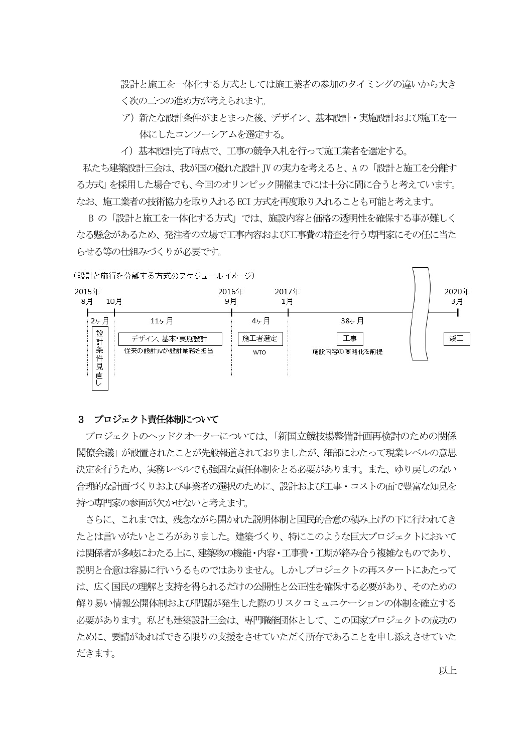設計と施工を一体化する方式としては施工業者の参加のタイミングの違いから大き く次の二つの進め方が考えられます。

- ア)新たな設計条件がまとまった後、デザイン、基本設計・実施設計および施工を一 体にしたコンソーシアムを選定する。
- イ)基本設計完了時点で、工事の競争入札を行って施工業者を選定する。

私たち建築設計三会は、我が国の優れた設計JV の実力を考えると、Aの「設計と施工を分離す る方式」を採用した場合でも、今回のオリンピック開催までには十分に間に合うと考えています。 なお、施工業者の技術協力を取り入れるECI 方式を再度取り入れることも可能と考えます。

B の「設計と施工を一体化する方式」では、施設内容と価格の透明性を確保する事が難しく なる懸念があるため、発注者の立場で工事内容および工事費の精査を行う専門家にその任に当た らせる等の仕組みづくりが必要です。

(設計と施行を分離する方式のスケジュールイメージ)



#### 3 プロジェクト責任体制について

プロジェクトのヘッドクオーターについては、「新国立競技場整備計画再検討のための関係 閣僚会議」が設置されたことが先般報道されておりましたが、細部にわたって現業レベルの意思 決定を行うため、実務レベルでも強固な責任体制をとる必要があります。また、ゆり戻しのない 合理的な計画づくりおよび事業者の選択のために、設計および工事・コストの面で豊富な知見を 持つ専門家の参画が欠かせないと考えます。

さらに、これまでは、残念ながら開かれた説明体制と国民的合意の積み上げの下に行われてき たとは言いがたいところがありました。建築づくり、特にこのような巨大プロジェクトにおいて は関係者が多岐にわたる上に、建築物の機能・内容・工事費・工期が絡み合う複雑なものであり、 説明と合意は容易に行いうるものではありません。しかしプロジェクトの再スタートにあたって は、広く国民の理解と支持を得られるだけの公開性と公正性を確保する必要があり、そのための 解り易い情報公開体制および問題が発生した際のリスクコミュニケーションの体制を確立する 必要があります。私ども建築設計三会は、専門職能団体として、この国家プロジェクトの成功の ために、要請があればできる限りの支援をさせていただく所存であることを申し添えさせていた だきます。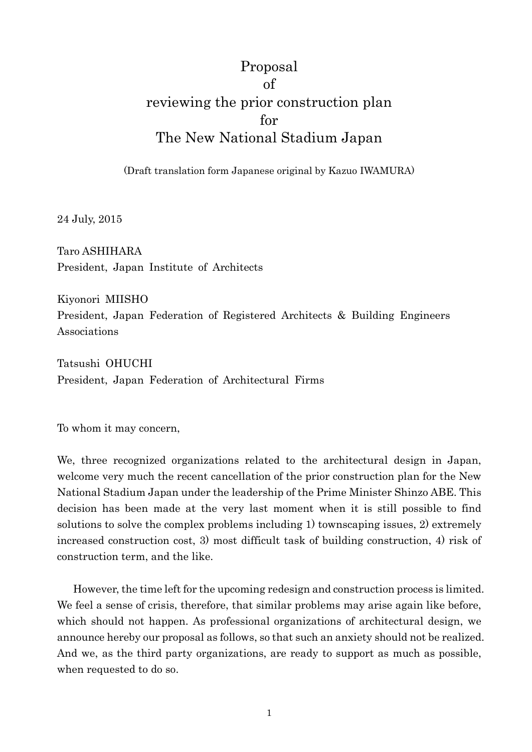# Proposal of reviewing the prior construction plan for The New National Stadium Japan

(Draft translation form Japanese original by Kazuo IWAMURA)

24 July, 2015

Taro ASHIHARA President, Japan Institute of Architects

Kiyonori MIISHO President, Japan Federation of Registered Architects & Building Engineers Associations

Tatsushi OHUCHI President, Japan Federation of Architectural Firms

To whom it may concern,

We, three recognized organizations related to the architectural design in Japan, welcome very much the recent cancellation of the prior construction plan for the New National Stadium Japan under the leadership of the Prime Minister Shinzo ABE. This decision has been made at the very last moment when it is still possible to find solutions to solve the complex problems including 1) townscaping issues, 2) extremely increased construction cost, 3) most difficult task of building construction, 4) risk of construction term, and the like.

 However, the time left for the upcoming redesign and construction process is limited. We feel a sense of crisis, therefore, that similar problems may arise again like before, which should not happen. As professional organizations of architectural design, we announce hereby our proposal as follows, so that such an anxiety should not be realized. And we, as the third party organizations, are ready to support as much as possible, when requested to do so.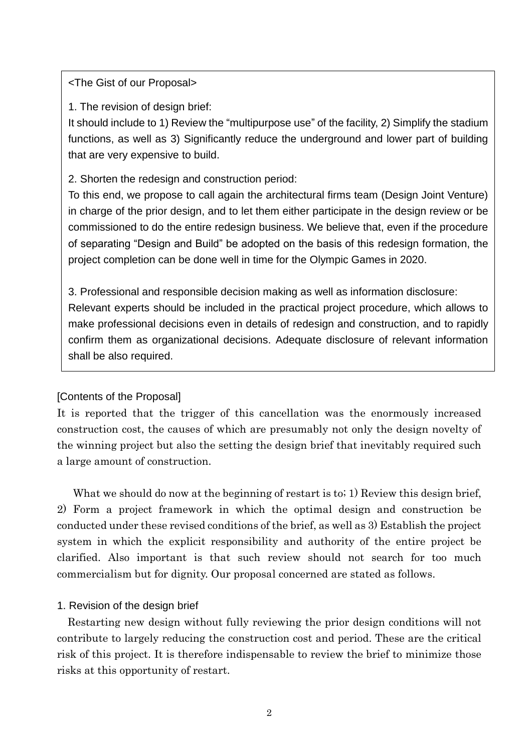<The Gist of our Proposal>

1. The revision of design brief:

It should include to 1) Review the "multipurpose use" of the facility, 2) Simplify the stadium functions, as well as 3) Significantly reduce the underground and lower part of building that are very expensive to build.

2. Shorten the redesign and construction period:

To this end, we propose to call again the architectural firms team (Design Joint Venture) in charge of the prior design, and to let them either participate in the design review or be commissioned to do the entire redesign business. We believe that, even if the procedure of separating "Design and Build" be adopted on the basis of this redesign formation, the project completion can be done well in time for the Olympic Games in 2020.

3. Professional and responsible decision making as well as information disclosure: Relevant experts should be included in the practical project procedure, which allows to make professional decisions even in details of redesign and construction, and to rapidly confirm them as organizational decisions. Adequate disclosure of relevant information shall be also required.

# [Contents of the Proposal]

It is reported that the trigger of this cancellation was the enormously increased construction cost, the causes of which are presumably not only the design novelty of the winning project but also the setting the design brief that inevitably required such a large amount of construction.

What we should do now at the beginning of restart is to; 1) Review this design brief, 2) Form a project framework in which the optimal design and construction be conducted under these revised conditions of the brief, as well as 3) Establish the project system in which the explicit responsibility and authority of the entire project be clarified. Also important is that such review should not search for too much commercialism but for dignity. Our proposal concerned are stated as follows.

# 1. Revision of the design brief

 Restarting new design without fully reviewing the prior design conditions will not contribute to largely reducing the construction cost and period. These are the critical risk of this project. It is therefore indispensable to review the brief to minimize those risks at this opportunity of restart.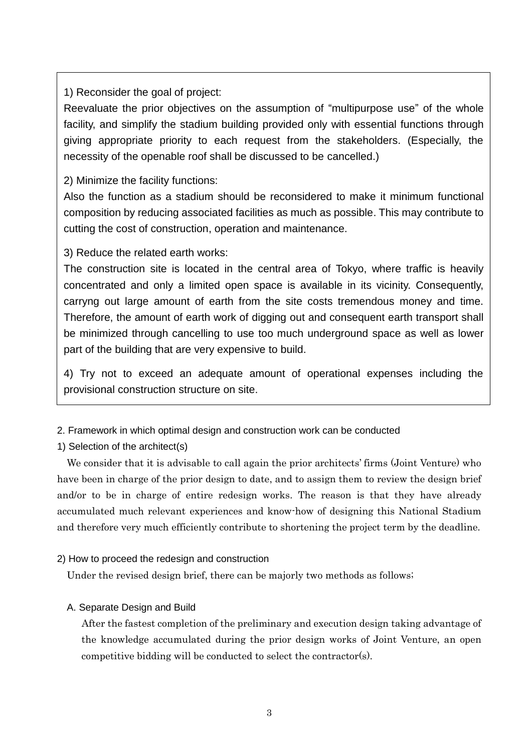1) Reconsider the goal of project:

Reevaluate the prior objectives on the assumption of "multipurpose use" of the whole facility, and simplify the stadium building provided only with essential functions through giving appropriate priority to each request from the stakeholders. (Especially, the necessity of the openable roof shall be discussed to be cancelled.)

2) Minimize the facility functions:

Also the function as a stadium should be reconsidered to make it minimum functional composition by reducing associated facilities as much as possible. This may contribute to cutting the cost of construction, operation and maintenance.

3) Reduce the related earth works:

The construction site is located in the central area of Tokyo, where traffic is heavily concentrated and only a limited open space is available in its vicinity. Consequently, carryng out large amount of earth from the site costs tremendous money and time. Therefore, the amount of earth work of digging out and consequent earth transport shall be minimized through cancelling to use too much underground space as well as lower part of the building that are very expensive to build.

4) Try not to exceed an adequate amount of operational expenses including the provisional construction structure on site.

2. Framework in which optimal design and construction work can be conducted

1) Selection of the architect(s)

We consider that it is advisable to call again the prior architects' firms (Joint Venture) who have been in charge of the prior design to date, and to assign them to review the design brief and/or to be in charge of entire redesign works. The reason is that they have already accumulated much relevant experiences and know-how of designing this National Stadium and therefore very much efficiently contribute to shortening the project term by the deadline.

# 2) How to proceed the redesign and construction

Under the revised design brief, there can be majorly two methods as follows;

# A. Separate Design and Build

 After the fastest completion of the preliminary and execution design taking advantage of the knowledge accumulated during the prior design works of Joint Venture, an open competitive bidding will be conducted to select the contractor(s).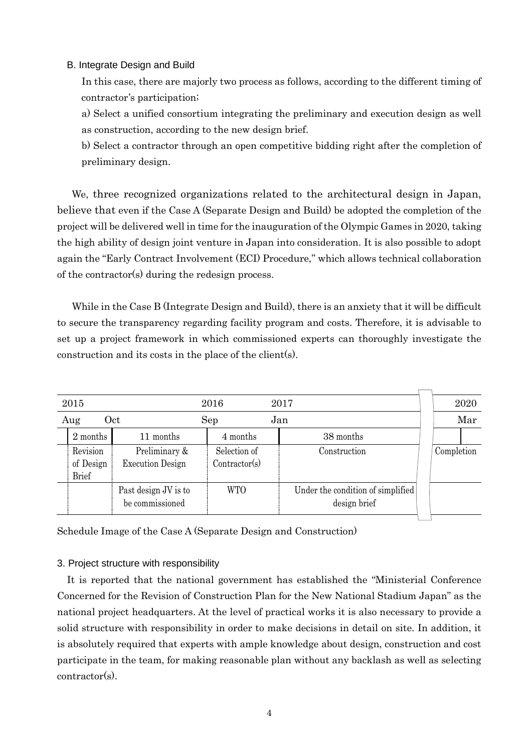#### B. Integrate Design and Build

 In this case, there are majorly two process as follows, according to the different timing of contractor's participation;

 a) Select a unified consortium integrating the preliminary and execution design as well as construction, according to the new design brief.

 b) Select a contractor through an open competitive bidding right after the completion of preliminary design.

We, three recognized organizations related to the architectural design in Japan, believe that even if the Case A (Separate Design and Build) be adopted the completion of the project will be delivered well in time for the inauguration of the Olympic Games in 2020, taking the high ability of design joint venture in Japan into consideration. It is also possible to adopt again the "Early Contract Involvement (ECI) Procedure," which allows technical collaboration of the contractor(s) during the redesign process.

 While in the Case B (Integrate Design and Build), there is an anxiety that it will be difficult to secure the transparency regarding facility program and costs. Therefore, it is advisable to set up a project framework in which commissioned experts can thoroughly investigate the construction and its costs in the place of the client(s).

| 2015       |                                       |                                          | 2016                          | 2017                                              | 2020       |
|------------|---------------------------------------|------------------------------------------|-------------------------------|---------------------------------------------------|------------|
| Oct<br>Aug |                                       |                                          | Jan<br>Sep                    |                                                   | Mar        |
|            | 2 months                              | 11 months                                | 4 months                      | 38 months                                         |            |
|            | Revision<br>of Design<br><b>Brief</b> | Preliminary &<br><b>Execution Design</b> | Selection of<br>Contractor(s) | Construction                                      | Completion |
|            |                                       | Past design JV is to<br>be commissioned  | <b>WTO</b>                    | Under the condition of simplified<br>design brief |            |

Schedule Image of the Case A (Separate Design and Construction)

#### 3. Project structure with responsibility

 It is reported that the national government has established the "Ministerial Conference Concerned for the Revision of Construction Plan for the New National Stadium Japan" as the national project headquarters. At the level of practical works it is also necessary to provide a solid structure with responsibility in order to make decisions in detail on site. In addition, it is absolutely required that experts with ample knowledge about design, construction and cost participate in the team, for making reasonable plan without any backlash as well as selecting contractor(s).